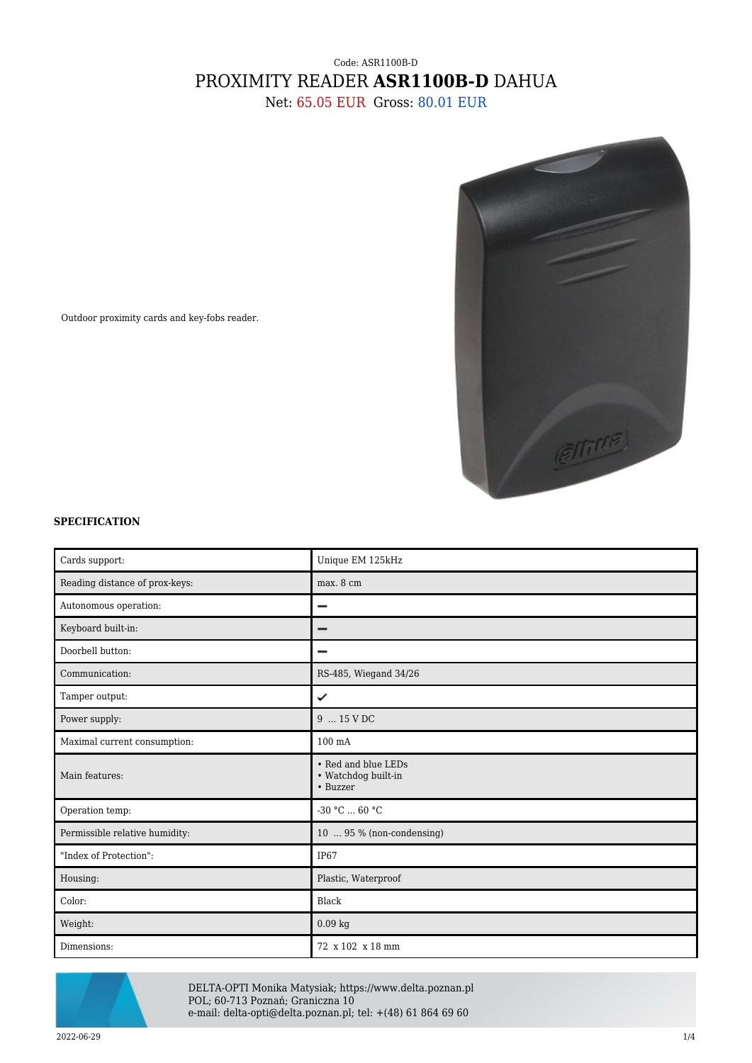## Code: ASR1100B-D PROXIMITY READER **ASR1100B-D** DAHUA

Net: 65.05 EUR Gross: 80.01 EUR



Outdoor proximity cards and key-fobs reader.

## **SPECIFICATION**

| Cards support:                 | Unique EM 125kHz                                       |
|--------------------------------|--------------------------------------------------------|
| Reading distance of prox-keys: | max. 8 cm                                              |
| Autonomous operation:          |                                                        |
| Keyboard built-in:             |                                                        |
| Doorbell button:               |                                                        |
| Communication:                 | RS-485, Wiegand 34/26                                  |
| Tamper output:                 | ✓                                                      |
| Power supply:                  | 9  15 V DC                                             |
| Maximal current consumption:   | $100 \text{ mA}$                                       |
| Main features:                 | • Red and blue LEDs<br>• Watchdog built-in<br>• Buzzer |
| Operation temp:                | $-30 °C$ 60 °C                                         |
| Permissible relative humidity: | 10  95 % (non-condensing)                              |
| "Index of Protection":         | IP <sub>67</sub>                                       |
| Housing:                       | Plastic, Waterproof                                    |
| Color:                         | Black                                                  |
| Weight:                        | $0.09$ kg                                              |
| Dimensions:                    | 72 x 102 x 18 mm                                       |



DELTA-OPTI Monika Matysiak; https://www.delta.poznan.pl POL; 60-713 Poznań; Graniczna 10 e-mail: delta-opti@delta.poznan.pl; tel: +(48) 61 864 69 60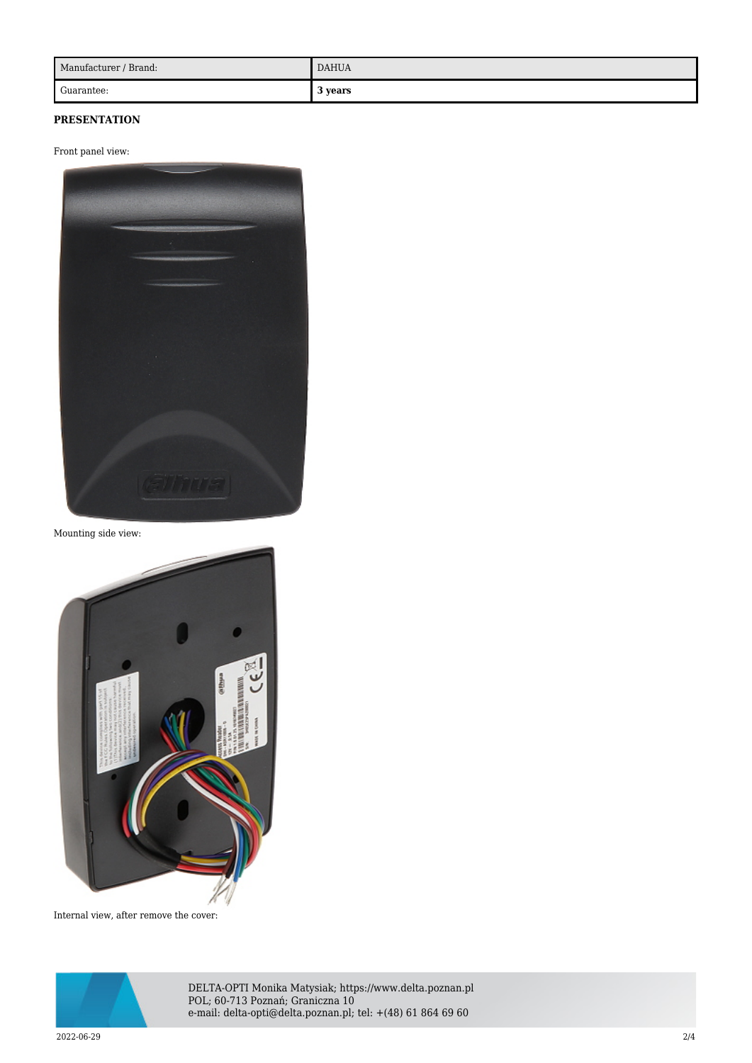| Manufacturer / Brand: | <b>DAHUA</b> |
|-----------------------|--------------|
| Guarantee:            | 3 years      |

## **PRESENTATION**

Front panel view:



Mounting side view:



Internal view, after remove the cover:



DELTA-OPTI Monika Matysiak; https://www.delta.poznan.pl POL; 60-713 Poznań; Graniczna 10 e-mail: delta-opti@delta.poznan.pl; tel: +(48) 61 864 69 60

2022-06-29 2/4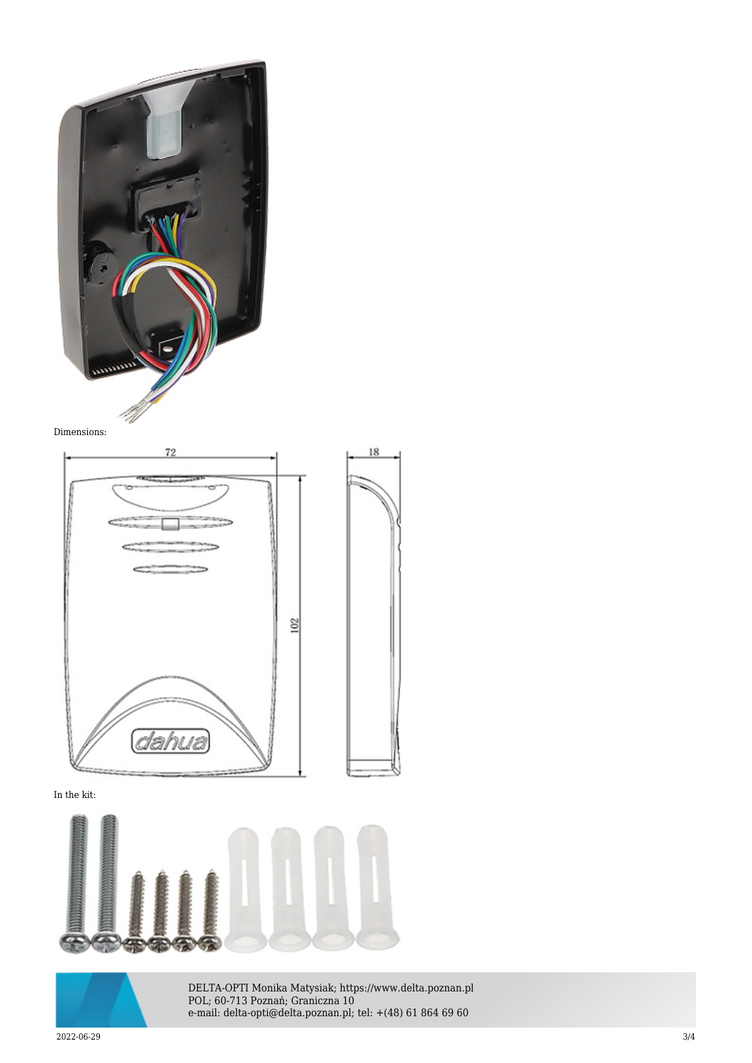





In the kit:





DELTA-OPTI Monika Matysiak; https://www.delta.poznan.pl POL; 60-713 Poznań; Graniczna 10 e-mail: delta-opti@delta.poznan.pl; tel: +(48) 61 864 69 60

2022-06-29 3/4